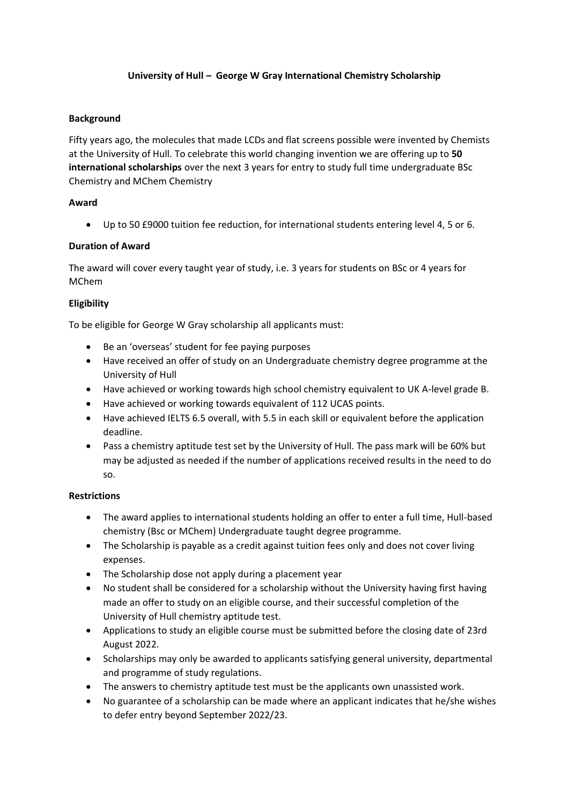# **University of Hull – George W Gray International Chemistry Scholarship**

# **Background**

Fifty years ago, the molecules that made LCDs and flat screens possible were invented by Chemists at the University of Hull. To celebrate this world changing invention we are offering up to **50 international scholarships** over the next 3 years for entry to study full time undergraduate BSc Chemistry and MChem Chemistry

## **Award**

• Up to 50 £9000 tuition fee reduction, for international students entering level 4, 5 or 6.

# **Duration of Award**

The award will cover every taught year of study, i.e. 3 years for students on BSc or 4 years for MChem

## **Eligibility**

To be eligible for George W Gray scholarship all applicants must:

- Be an 'overseas' student for fee paying purposes
- Have received an offer of study on an Undergraduate chemistry degree programme at the University of Hull
- Have achieved or working towards high school chemistry equivalent to UK A-level grade B.
- Have achieved or working towards equivalent of 112 UCAS points.
- Have achieved IELTS 6.5 overall, with 5.5 in each skill or equivalent before the application deadline.
- Pass a chemistry aptitude test set by the University of Hull. The pass mark will be 60% but may be adjusted as needed if the number of applications received results in the need to do so.

# **Restrictions**

- The award applies to international students holding an offer to enter a full time, Hull-based chemistry (Bsc or MChem) Undergraduate taught degree programme.
- The Scholarship is payable as a credit against tuition fees only and does not cover living expenses.
- The Scholarship dose not apply during a placement year
- No student shall be considered for a scholarship without the University having first having made an offer to study on an eligible course, and their successful completion of the University of Hull chemistry aptitude test.
- Applications to study an eligible course must be submitted before the closing date of 23rd August 2022.
- Scholarships may only be awarded to applicants satisfying general university, departmental and programme of study regulations.
- The answers to chemistry aptitude test must be the applicants own unassisted work.
- No guarantee of a scholarship can be made where an applicant indicates that he/she wishes to defer entry beyond September 2022/23.